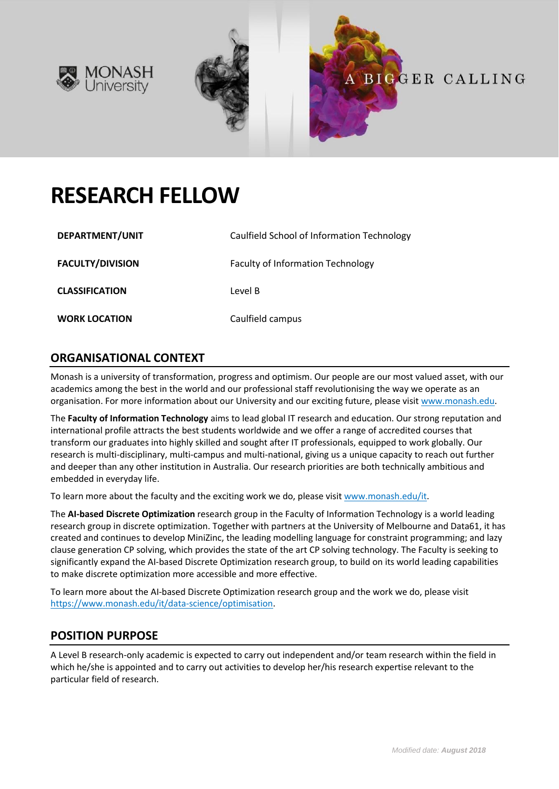



# **RESEARCH FELLOW**

| DEPARTMENT/UNIT         | Caulfield School of Information Technology |
|-------------------------|--------------------------------------------|
| <b>FACULTY/DIVISION</b> | <b>Faculty of Information Technology</b>   |
| <b>CLASSIFICATION</b>   | Level B                                    |
| <b>WORK LOCATION</b>    | Caulfield campus                           |

## **ORGANISATIONAL CONTEXT**

Monash is a university of transformation, progress and optimism. Our people are our most valued asset, with our academics among the best in the world and our professional staff revolutionising the way we operate as an organisation. For more information about our University and our exciting future, please visit [www.monash.edu.](http://www.monash.edu/)

The **Faculty of Information Technology** aims to lead global IT research and education. Our strong reputation and international profile attracts the best students worldwide and we offer a range of accredited courses that transform our graduates into highly skilled and sought after IT professionals, equipped to work globally. Our research is multi-disciplinary, multi-campus and multi-national, giving us a unique capacity to reach out further and deeper than any other institution in Australia. Our research priorities are both technically ambitious and embedded in everyday life.

To learn more about the faculty and the exciting work we do, please visi[t www.monash.edu/it.](http://www.monash.edu/it)

The **AI-based Discrete Optimization** research group in the Faculty of Information Technology is a world leading research group in discrete optimization. Together with partners at the University of Melbourne and Data61, it has created and continues to develop MiniZinc, the leading modelling language for constraint programming; and lazy clause generation CP solving, which provides the state of the art CP solving technology. The Faculty is seeking to significantly expand the AI-based Discrete Optimization research group, to build on its world leading capabilities to make discrete optimization more accessible and more effective.

To learn more about the AI-based Discrete Optimization research group and the work we do, please visit [https://www.monash.edu/it/data-science/optimisation.](https://www.monash.edu/it/data-science/optimisation)

### **POSITION PURPOSE**

A Level B research-only academic is expected to carry out independent and/or team research within the field in which he/she is appointed and to carry out activities to develop her/his research expertise relevant to the particular field of research.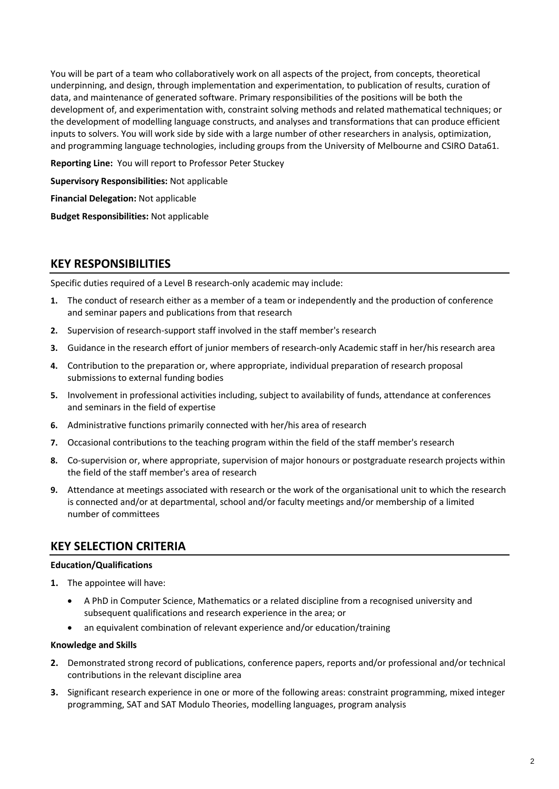You will be part of a team who collaboratively work on all aspects of the project, from concepts, theoretical underpinning, and design, through implementation and experimentation, to publication of results, curation of data, and maintenance of generated software. Primary responsibilities of the positions will be both the development of, and experimentation with, constraint solving methods and related mathematical techniques; or the development of modelling language constructs, and analyses and transformations that can produce efficient inputs to solvers. You will work side by side with a large number of other researchers in analysis, optimization, and programming language technologies, including groups from the University of Melbourne and CSIRO Data61.

**Reporting Line:** You will report to Professor Peter Stuckey

**Supervisory Responsibilities:** Not applicable

**Financial Delegation:** Not applicable

**Budget Responsibilities:** Not applicable

#### **KEY RESPONSIBILITIES**

Specific duties required of a Level B research-only academic may include:

- **1.** The conduct of research either as a member of a team or independently and the production of conference and seminar papers and publications from that research
- **2.** Supervision of research-support staff involved in the staff member's research
- **3.** Guidance in the research effort of junior members of research-only Academic staff in her/his research area
- **4.** Contribution to the preparation or, where appropriate, individual preparation of research proposal submissions to external funding bodies
- **5.** Involvement in professional activities including, subject to availability of funds, attendance at conferences and seminars in the field of expertise
- **6.** Administrative functions primarily connected with her/his area of research
- **7.** Occasional contributions to the teaching program within the field of the staff member's research
- **8.** Co-supervision or, where appropriate, supervision of major honours or postgraduate research projects within the field of the staff member's area of research
- **9.** Attendance at meetings associated with research or the work of the organisational unit to which the research is connected and/or at departmental, school and/or faculty meetings and/or membership of a limited number of committees

### **KEY SELECTION CRITERIA**

#### **Education/Qualifications**

- **1.** The appointee will have:
	- A PhD in Computer Science, Mathematics or a related discipline from a recognised university and subsequent qualifications and research experience in the area; or
	- an equivalent combination of relevant experience and/or education/training

#### **Knowledge and Skills**

- **2.** Demonstrated strong record of publications, conference papers, reports and/or professional and/or technical contributions in the relevant discipline area
- **3.** Significant research experience in one or more of the following areas: constraint programming, mixed integer programming, SAT and SAT Modulo Theories, modelling languages, program analysis